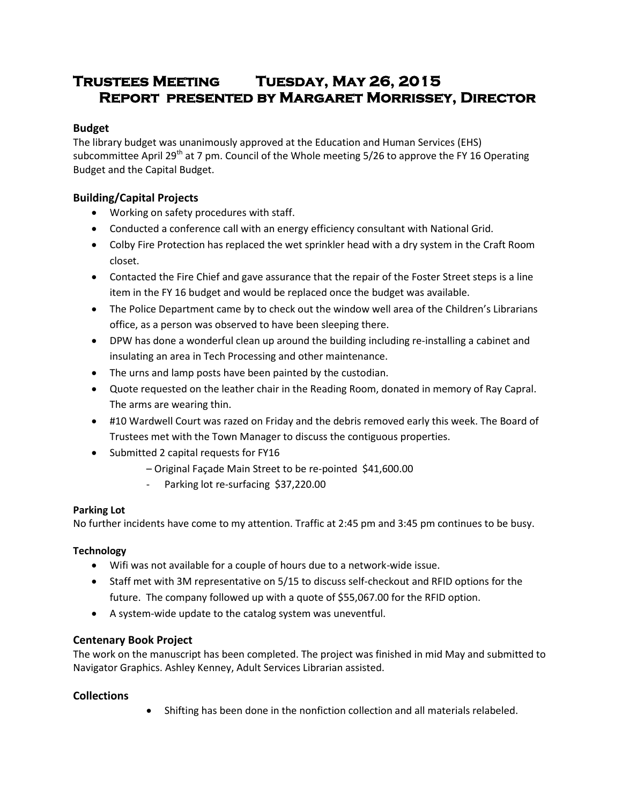# **Trustees Meeting Tuesday, May 26, 2015 Report presented by Margaret Morrissey, Director**

# **Budget**

The library budget was unanimously approved at the Education and Human Services (EHS) subcommittee April 29<sup>th</sup> at 7 pm. Council of the Whole meeting 5/26 to approve the FY 16 Operating Budget and the Capital Budget.

# **Building/Capital Projects**

- Working on safety procedures with staff.
- Conducted a conference call with an energy efficiency consultant with National Grid.
- Colby Fire Protection has replaced the wet sprinkler head with a dry system in the Craft Room closet.
- Contacted the Fire Chief and gave assurance that the repair of the Foster Street steps is a line item in the FY 16 budget and would be replaced once the budget was available.
- The Police Department came by to check out the window well area of the Children's Librarians office, as a person was observed to have been sleeping there.
- DPW has done a wonderful clean up around the building including re-installing a cabinet and insulating an area in Tech Processing and other maintenance.
- The urns and lamp posts have been painted by the custodian.
- Quote requested on the leather chair in the Reading Room, donated in memory of Ray Capral. The arms are wearing thin.
- #10 Wardwell Court was razed on Friday and the debris removed early this week. The Board of Trustees met with the Town Manager to discuss the contiguous properties.
- Submitted 2 capital requests for FY16
	- Original Façade Main Street to be re-pointed \$41,600.00
		- Parking lot re-surfacing \$37,220.00

# **Parking Lot**

No further incidents have come to my attention. Traffic at 2:45 pm and 3:45 pm continues to be busy.

# **Technology**

- Wifi was not available for a couple of hours due to a network-wide issue.
- Staff met with 3M representative on 5/15 to discuss self-checkout and RFID options for the future. The company followed up with a quote of \$55,067.00 for the RFID option.
- A system-wide update to the catalog system was uneventful.

# **Centenary Book Project**

The work on the manuscript has been completed. The project was finished in mid May and submitted to Navigator Graphics. Ashley Kenney, Adult Services Librarian assisted.

# **Collections**

Shifting has been done in the nonfiction collection and all materials relabeled.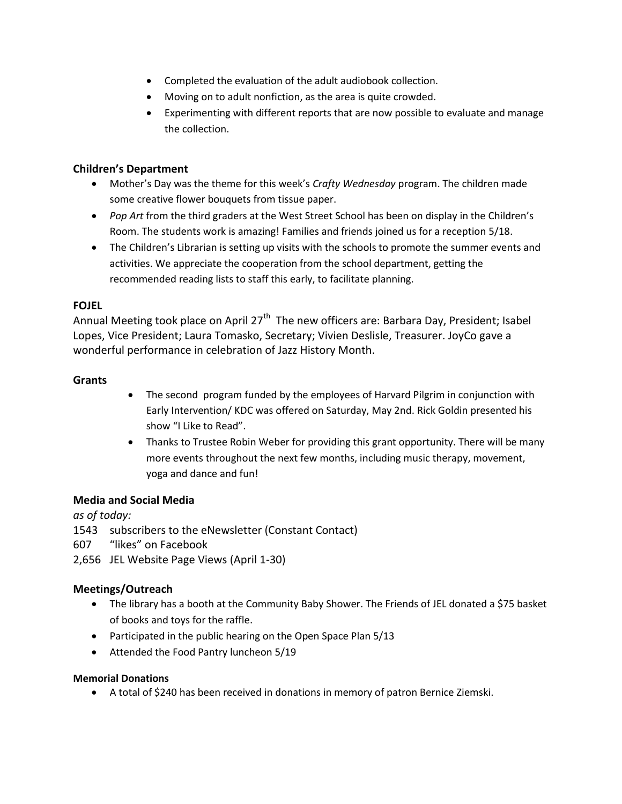- Completed the evaluation of the adult audiobook collection.
- Moving on to adult nonfiction, as the area is quite crowded.
- Experimenting with different reports that are now possible to evaluate and manage the collection.

## **Children's Department**

- Mother's Day was the theme for this week's *Crafty Wednesday* program. The children made some creative flower bouquets from tissue paper.
- *Pop Art* from the third graders at the West Street School has been on display in the Children's Room. The students work is amazing! Families and friends joined us for a reception 5/18.
- The Children's Librarian is setting up visits with the schools to promote the summer events and activities. We appreciate the cooperation from the school department, getting the recommended reading lists to staff this early, to facilitate planning.

## **FOJEL**

Annual Meeting took place on April 27<sup>th</sup> The new officers are: Barbara Day, President; Isabel Lopes, Vice President; Laura Tomasko, Secretary; Vivien Deslisle, Treasurer. JoyCo gave a wonderful performance in celebration of Jazz History Month.

## **Grants**

- The second program funded by the employees of Harvard Pilgrim in conjunction with Early Intervention/ KDC was offered on Saturday, May 2nd. Rick Goldin presented his show "I Like to Read".
- Thanks to Trustee Robin Weber for providing this grant opportunity. There will be many more events throughout the next few months, including music therapy, movement, yoga and dance and fun!

### **Media and Social Media**

*as of today:*

1543 subscribers to the eNewsletter (Constant Contact)

- 607 "likes" on Facebook
- 2,656 JEL Website Page Views (April 1-30)

# **Meetings/Outreach**

- The library has a booth at the Community Baby Shower. The Friends of JEL donated a \$75 basket of books and toys for the raffle.
- Participated in the public hearing on the Open Space Plan 5/13
- Attended the Food Pantry luncheon 5/19

### **Memorial Donations**

A total of \$240 has been received in donations in memory of patron Bernice Ziemski.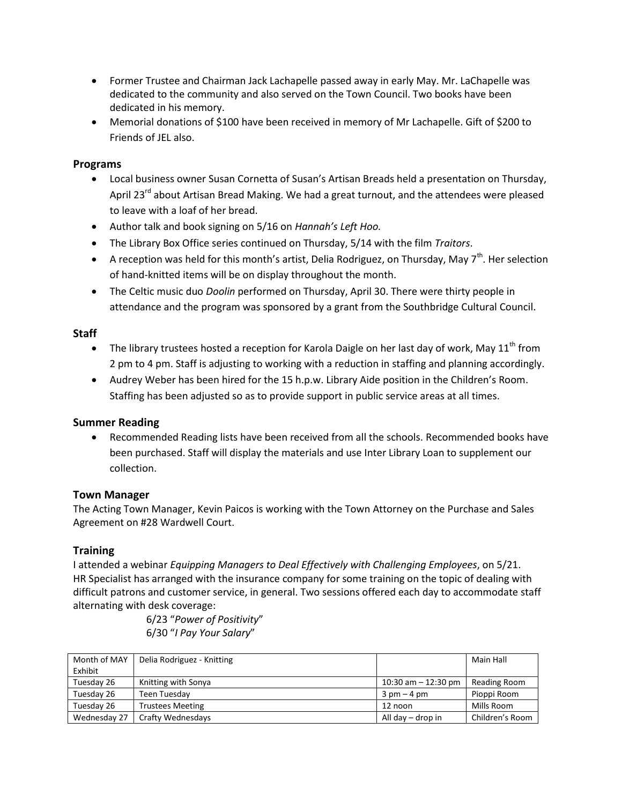- Former Trustee and Chairman Jack Lachapelle passed away in early May. Mr. LaChapelle was dedicated to the community and also served on the Town Council. Two books have been dedicated in his memory.
- Memorial donations of \$100 have been received in memory of Mr Lachapelle. Gift of \$200 to Friends of JEL also.

# **Programs**

- Local business owner Susan Cornetta of Susan's Artisan Breads held a presentation on Thursday, April 23<sup>rd</sup> about Artisan Bread Making. We had a great turnout, and the attendees were pleased to leave with a loaf of her bread.
- Author talk and book signing on 5/16 on *Hannah's Left Hoo.*
- The Library Box Office series continued on Thursday, 5/14 with the film *Traitors*.
- A reception was held for this month's artist, Delia Rodriguez, on Thursday, May  $7<sup>th</sup>$ . Her selection of hand-knitted items will be on display throughout the month.
- The Celtic music duo *Doolin* performed on Thursday, April 30. There were thirty people in attendance and the program was sponsored by a grant from the Southbridge Cultural Council.

# **Staff**

- The library trustees hosted a reception for Karola Daigle on her last day of work, May  $11<sup>th</sup>$  from 2 pm to 4 pm. Staff is adjusting to working with a reduction in staffing and planning accordingly.
- Audrey Weber has been hired for the 15 h.p.w. Library Aide position in the Children's Room. Staffing has been adjusted so as to provide support in public service areas at all times.

### **Summer Reading**

 Recommended Reading lists have been received from all the schools. Recommended books have been purchased. Staff will display the materials and use Inter Library Loan to supplement our collection.

### **Town Manager**

The Acting Town Manager, Kevin Paicos is working with the Town Attorney on the Purchase and Sales Agreement on #28 Wardwell Court.

# **Training**

I attended a webinar *Equipping Managers to Deal Effectively with Challenging Employees*, on 5/21. HR Specialist has arranged with the insurance company for some training on the topic of dealing with difficult patrons and customer service, in general. Two sessions offered each day to accommodate staff alternating with desk coverage:

> 6/23 "*Power of Positivity*" 6/30 "*I Pay Your Salary*"

| Month of MAY | Delia Rodriguez - Knitting |                               | Main Hall       |
|--------------|----------------------------|-------------------------------|-----------------|
| Exhibit      |                            |                               |                 |
| Tuesday 26   | Knitting with Sonya        | 10:30 am $-$ 12:30 pm         | Reading Room    |
| Tuesday 26   | Teen Tuesdav               | $3 \text{ pm} - 4 \text{ pm}$ | Pioppi Room     |
| Tuesday 26   | <b>Trustees Meeting</b>    | 12 noon                       | Mills Room      |
| Wednesday 27 | Crafty Wednesdays          | All day – drop in             | Children's Room |